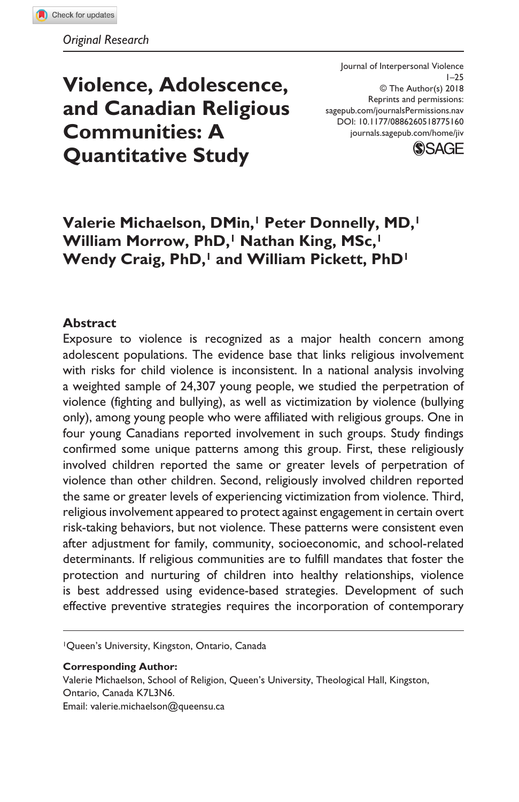**Violence, Adolescence, and Canadian Religious Communities: A Quantitative Study**

DOI: 10.1177/0886260518775160 Journal of Interpersonal Violence 1–25 © The Author(s) 2018 Reprints and permissions: [sagepub.com/journalsPermissions.nav](https://us.sagepub.com/en-us/journals-permissions) [journals.sagepub.com/home/jiv](https://journals.sagepub.com/home/jiv)



# Valerie Michaelson, DMin,<sup>1</sup> Peter Donnelly, MD,<sup>1</sup> **William Morrow, PhD,1 Nathan King, MSc,1** Wendy Craig, PhD,<sup>1</sup> and William Pickett, PhD<sup>1</sup>

#### **Abstract**

Exposure to violence is recognized as a major health concern among adolescent populations. The evidence base that links religious involvement with risks for child violence is inconsistent. In a national analysis involving a weighted sample of 24,307 young people, we studied the perpetration of violence (fighting and bullying), as well as victimization by violence (bullying only), among young people who were affiliated with religious groups. One in four young Canadians reported involvement in such groups. Study findings confirmed some unique patterns among this group. First, these religiously involved children reported the same or greater levels of perpetration of violence than other children. Second, religiously involved children reported the same or greater levels of experiencing victimization from violence. Third, religious involvement appeared to protect against engagement in certain overt risk-taking behaviors, but not violence. These patterns were consistent even after adjustment for family, community, socioeconomic, and school-related determinants. If religious communities are to fulfill mandates that foster the protection and nurturing of children into healthy relationships, violence is best addressed using evidence-based strategies. Development of such effective preventive strategies requires the incorporation of contemporary

1Queen's University, Kingston, Ontario, Canada

**Corresponding Author:**

Valerie Michaelson, School of Religion, Queen's University, Theological Hall, Kingston, Ontario, Canada K7L3N6. Email: [valerie.michaelson@queensu.ca](mailto:valerie.michaelson@queensu.ca)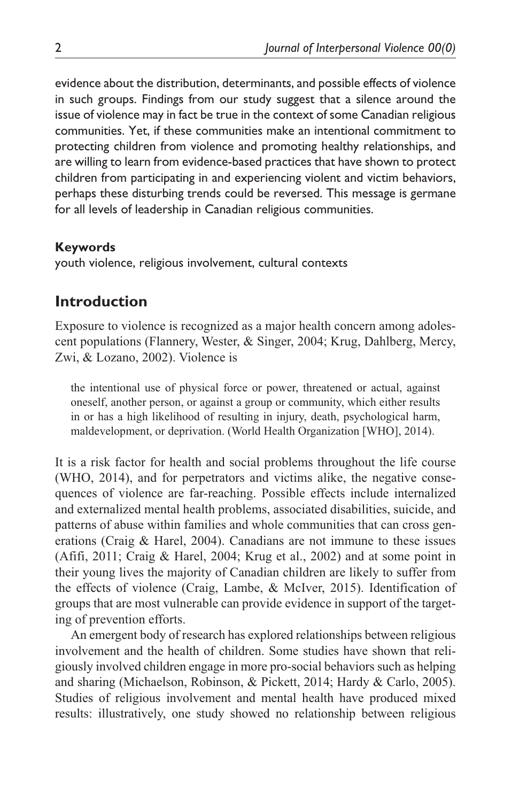evidence about the distribution, determinants, and possible effects of violence in such groups. Findings from our study suggest that a silence around the issue of violence may in fact be true in the context of some Canadian religious communities. Yet, if these communities make an intentional commitment to protecting children from violence and promoting healthy relationships, and are willing to learn from evidence-based practices that have shown to protect children from participating in and experiencing violent and victim behaviors, perhaps these disturbing trends could be reversed. This message is germane for all levels of leadership in Canadian religious communities.

### **Keywords**

youth violence, religious involvement, cultural contexts

# **Introduction**

Exposure to violence is recognized as a major health concern among adolescent populations (Flannery, Wester, & Singer, 2004; Krug, Dahlberg, Mercy, Zwi, & Lozano, 2002). Violence is

the intentional use of physical force or power, threatened or actual, against oneself, another person, or against a group or community, which either results in or has a high likelihood of resulting in injury, death, psychological harm, maldevelopment, or deprivation. (World Health Organization [WHO], 2014).

It is a risk factor for health and social problems throughout the life course (WHO, 2014), and for perpetrators and victims alike, the negative consequences of violence are far-reaching. Possible effects include internalized and externalized mental health problems, associated disabilities, suicide, and patterns of abuse within families and whole communities that can cross generations (Craig & Harel, 2004). Canadians are not immune to these issues (Afifi, 2011; Craig & Harel, 2004; Krug et al., 2002) and at some point in their young lives the majority of Canadian children are likely to suffer from the effects of violence (Craig, Lambe, & McIver, 2015). Identification of groups that are most vulnerable can provide evidence in support of the targeting of prevention efforts.

An emergent body of research has explored relationships between religious involvement and the health of children. Some studies have shown that religiously involved children engage in more pro-social behaviors such as helping and sharing (Michaelson, Robinson, & Pickett, 2014; Hardy & Carlo, 2005). Studies of religious involvement and mental health have produced mixed results: illustratively, one study showed no relationship between religious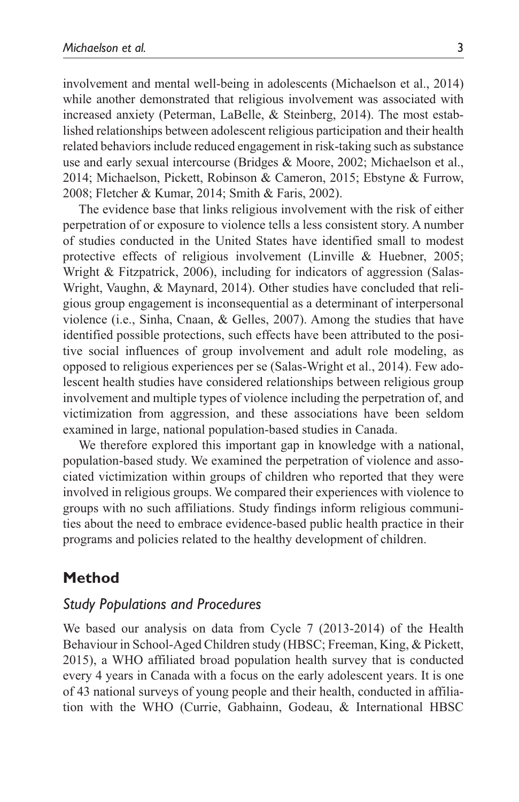involvement and mental well-being in adolescents (Michaelson et al., 2014) while another demonstrated that religious involvement was associated with increased anxiety (Peterman, LaBelle, & Steinberg, 2014). The most established relationships between adolescent religious participation and their health related behaviors include reduced engagement in risk-taking such as substance use and early sexual intercourse (Bridges & Moore, 2002; Michaelson et al., 2014; Michaelson, Pickett, Robinson & Cameron, 2015; Ebstyne & Furrow, 2008; Fletcher & Kumar, 2014; Smith & Faris, 2002).

The evidence base that links religious involvement with the risk of either perpetration of or exposure to violence tells a less consistent story. A number of studies conducted in the United States have identified small to modest protective effects of religious involvement (Linville & Huebner, 2005; Wright & Fitzpatrick, 2006), including for indicators of aggression (Salas-Wright, Vaughn, & Maynard, 2014). Other studies have concluded that religious group engagement is inconsequential as a determinant of interpersonal violence (i.e., Sinha, Cnaan, & Gelles, 2007). Among the studies that have identified possible protections, such effects have been attributed to the positive social influences of group involvement and adult role modeling, as opposed to religious experiences per se (Salas-Wright et al., 2014). Few adolescent health studies have considered relationships between religious group involvement and multiple types of violence including the perpetration of, and victimization from aggression, and these associations have been seldom examined in large, national population-based studies in Canada.

We therefore explored this important gap in knowledge with a national, population-based study. We examined the perpetration of violence and associated victimization within groups of children who reported that they were involved in religious groups. We compared their experiences with violence to groups with no such affiliations. Study findings inform religious communities about the need to embrace evidence-based public health practice in their programs and policies related to the healthy development of children.

## **Method**

### *Study Populations and Procedures*

We based our analysis on data from Cycle 7 (2013-2014) of the Health Behaviour in School-Aged Children study (HBSC; Freeman, King, & Pickett, 2015), a WHO affiliated broad population health survey that is conducted every 4 years in Canada with a focus on the early adolescent years. It is one of 43 national surveys of young people and their health, conducted in affiliation with the WHO (Currie, Gabhainn, Godeau, & International HBSC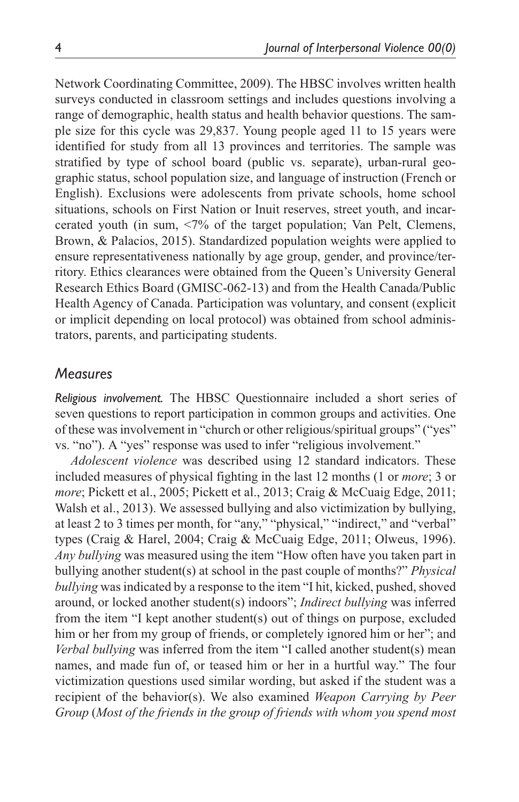Network Coordinating Committee, 2009). The HBSC involves written health surveys conducted in classroom settings and includes questions involving a range of demographic, health status and health behavior questions. The sample size for this cycle was 29,837. Young people aged 11 to 15 years were identified for study from all 13 provinces and territories. The sample was stratified by type of school board (public vs. separate), urban-rural geographic status, school population size, and language of instruction (French or English). Exclusions were adolescents from private schools, home school situations, schools on First Nation or Inuit reserves, street youth, and incarcerated youth (in sum, <7% of the target population; Van Pelt, Clemens, Brown, & Palacios, 2015). Standardized population weights were applied to ensure representativeness nationally by age group, gender, and province/territory. Ethics clearances were obtained from the Queen's University General Research Ethics Board (GMISC-062-13) and from the Health Canada/Public Health Agency of Canada. Participation was voluntary, and consent (explicit or implicit depending on local protocol) was obtained from school administrators, parents, and participating students.

### *Measures*

*Religious involvement.* The HBSC Questionnaire included a short series of seven questions to report participation in common groups and activities. One of these was involvement in "church or other religious/spiritual groups" ("yes" vs. "no"). A "yes" response was used to infer "religious involvement."

*Adolescent violence* was described using 12 standard indicators. These included measures of physical fighting in the last 12 months (1 or *more*; 3 or *more*; Pickett et al., 2005; Pickett et al., 2013; Craig & McCuaig Edge, 2011; Walsh et al., 2013). We assessed bullying and also victimization by bullying, at least 2 to 3 times per month, for "any," "physical," "indirect," and "verbal" types (Craig & Harel, 2004; Craig & McCuaig Edge, 2011; Olweus, 1996). *Any bullying* was measured using the item "How often have you taken part in bullying another student(s) at school in the past couple of months?" *Physical bullying* was indicated by a response to the item "I hit, kicked, pushed, shoved around, or locked another student(s) indoors"; *Indirect bullying* was inferred from the item "I kept another student(s) out of things on purpose, excluded him or her from my group of friends, or completely ignored him or her"; and *Verbal bullying* was inferred from the item "I called another student(s) mean names, and made fun of, or teased him or her in a hurtful way." The four victimization questions used similar wording, but asked if the student was a recipient of the behavior(s). We also examined *Weapon Carrying by Peer Group* (*Most of the friends in the group of friends with whom you spend most*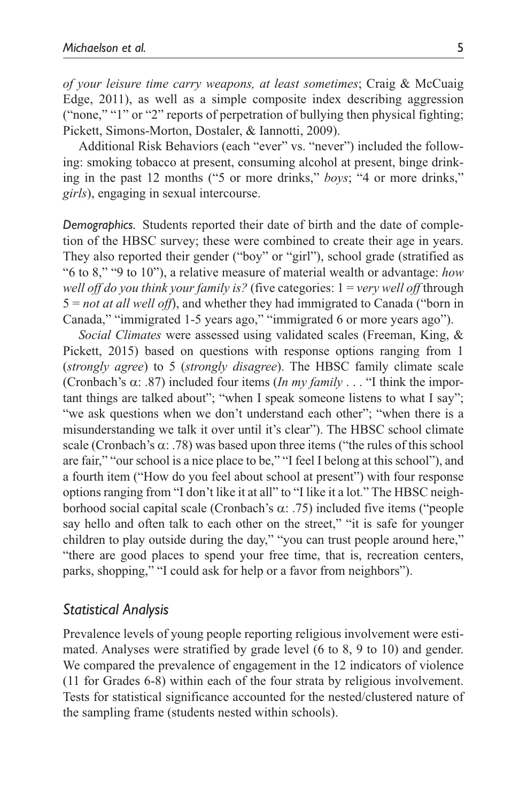*of your leisure time carry weapons, at least sometimes*; Craig & McCuaig Edge, 2011), as well as a simple composite index describing aggression ("none," "1" or "2" reports of perpetration of bullying then physical fighting; Pickett, Simons-Morton, Dostaler, & Iannotti, 2009).

Additional Risk Behaviors (each "ever" vs. "never") included the following: smoking tobacco at present, consuming alcohol at present, binge drinking in the past 12 months ("5 or more drinks," *boys*; "4 or more drinks," *girls*), engaging in sexual intercourse.

*Demographics.* Students reported their date of birth and the date of completion of the HBSC survey; these were combined to create their age in years. They also reported their gender ("boy" or "girl"), school grade (stratified as "6 to 8," "9 to 10"), a relative measure of material wealth or advantage: *how well off do you think your family is?* (five categories: 1 = *very well off* through 5 = *not at all well off*), and whether they had immigrated to Canada ("born in Canada," "immigrated 1-5 years ago," "immigrated 6 or more years ago").

*Social Climates* were assessed using validated scales (Freeman, King, & Pickett, 2015) based on questions with response options ranging from 1 (*strongly agree*) to 5 (*strongly disagree*). The HBSC family climate scale (Cronbach's α: .87) included four items (*In my family* . . . "I think the important things are talked about"; "when I speak someone listens to what I say"; "we ask questions when we don't understand each other"; "when there is a misunderstanding we talk it over until it's clear"). The HBSC school climate scale (Cronbach's  $\alpha$ : .78) was based upon three items ("the rules of this school are fair," "our school is a nice place to be," "I feel I belong at this school"), and a fourth item ("How do you feel about school at present") with four response options ranging from "I don't like it at all" to "I like it a lot." The HBSC neighborhood social capital scale (Cronbach's α: .75) included five items ("people say hello and often talk to each other on the street," "it is safe for younger children to play outside during the day," "you can trust people around here," "there are good places to spend your free time, that is, recreation centers, parks, shopping," "I could ask for help or a favor from neighbors").

### *Statistical Analysis*

Prevalence levels of young people reporting religious involvement were estimated. Analyses were stratified by grade level (6 to 8, 9 to 10) and gender. We compared the prevalence of engagement in the 12 indicators of violence (11 for Grades 6-8) within each of the four strata by religious involvement. Tests for statistical significance accounted for the nested/clustered nature of the sampling frame (students nested within schools).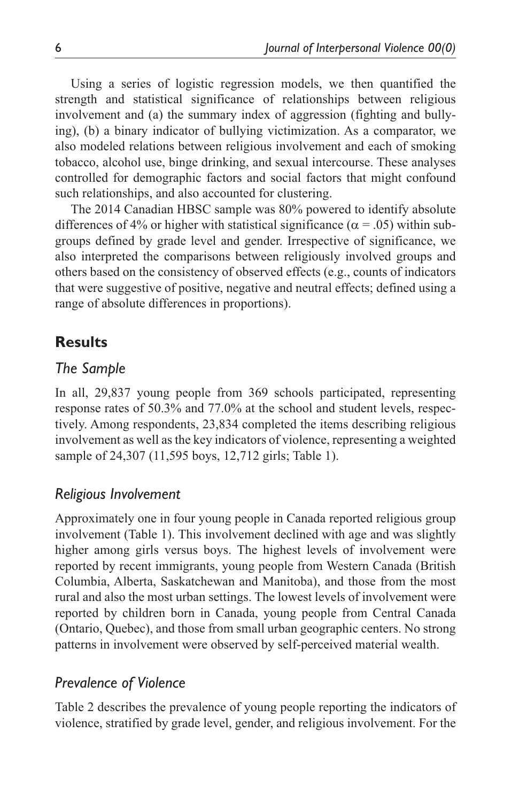Using a series of logistic regression models, we then quantified the strength and statistical significance of relationships between religious involvement and (a) the summary index of aggression (fighting and bullying), (b) a binary indicator of bullying victimization. As a comparator, we also modeled relations between religious involvement and each of smoking tobacco, alcohol use, binge drinking, and sexual intercourse. These analyses controlled for demographic factors and social factors that might confound such relationships, and also accounted for clustering.

The 2014 Canadian HBSC sample was 80% powered to identify absolute differences of 4% or higher with statistical significance ( $\alpha$  = .05) within subgroups defined by grade level and gender. Irrespective of significance, we also interpreted the comparisons between religiously involved groups and others based on the consistency of observed effects (e.g., counts of indicators that were suggestive of positive, negative and neutral effects; defined using a range of absolute differences in proportions).

# **Results**

### *The Sample*

In all, 29,837 young people from 369 schools participated, representing response rates of 50.3% and 77.0% at the school and student levels, respectively. Among respondents, 23,834 completed the items describing religious involvement as well as the key indicators of violence, representing a weighted sample of 24,307 (11,595 boys, 12,712 girls; Table 1).

### *Religious Involvement*

Approximately one in four young people in Canada reported religious group involvement (Table 1). This involvement declined with age and was slightly higher among girls versus boys. The highest levels of involvement were reported by recent immigrants, young people from Western Canada (British Columbia, Alberta, Saskatchewan and Manitoba), and those from the most rural and also the most urban settings. The lowest levels of involvement were reported by children born in Canada, young people from Central Canada (Ontario, Quebec), and those from small urban geographic centers. No strong patterns in involvement were observed by self-perceived material wealth.

## *Prevalence of Violence*

Table 2 describes the prevalence of young people reporting the indicators of violence, stratified by grade level, gender, and religious involvement. For the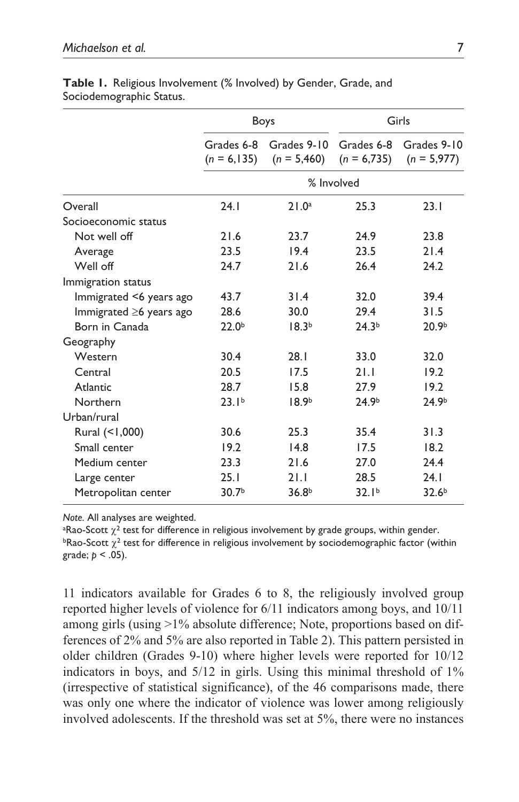|                         |                              | Boys                         | Girls                       |                              |  |  |
|-------------------------|------------------------------|------------------------------|-----------------------------|------------------------------|--|--|
|                         | Grades 6-8<br>$(n = 6, 135)$ | Grades 9-10<br>$(n = 5,460)$ | Grades 6-8<br>$(n = 6,735)$ | Grades 9-10<br>$(n = 5,977)$ |  |  |
|                         |                              |                              | % Involved                  |                              |  |  |
| Overall                 | 24.1                         | 21.0 <sup>a</sup>            | 25.3                        | 23.1                         |  |  |
| Socioeconomic status    |                              |                              |                             |                              |  |  |
| Not well off            | 21.6                         | 23.7                         | 24.9                        | 23.8                         |  |  |
| Average                 | 23.5                         | 19.4                         | 23.5                        | 21.4                         |  |  |
| Well off                | 24.7                         | 21.6                         | 26.4                        | 24.2                         |  |  |
| Immigration status      |                              |                              |                             |                              |  |  |
| Immigrated <6 years ago | 43.7                         | 31.4                         | 32.0                        | 39.4                         |  |  |
| Immigrated ≥6 years ago | 28.6                         | 30.0                         | 29.4                        | 31.5                         |  |  |
| Born in Canada          | 22.0 <sup>b</sup>            | 18.3 <sup>b</sup>            | 24.3 <sup>b</sup>           | 20.9 <sup>b</sup>            |  |  |
| Geography               |                              |                              |                             |                              |  |  |
| Western                 | 30.4                         | 28.1                         | 33.0                        | 32.0                         |  |  |
| Central                 | 20.5                         | 17.5                         | 21.1                        | 19.2                         |  |  |
| Atlantic                | 28.7                         | 15.8                         | 27.9                        | 19.2                         |  |  |
| Northern                | 23.1 <sup>b</sup>            | 18.9 <sup>b</sup>            | 24.9b                       | 24.9 <sup>b</sup>            |  |  |
| Urban/rural             |                              |                              |                             |                              |  |  |
| Rural (<1,000)          | 30.6                         | 25.3                         | 35.4                        | 31.3                         |  |  |
| Small center            | 19.2                         | 14.8                         | 17.5                        | 18.2                         |  |  |
| Medium center           | 23.3                         | 21.6                         | 27.0                        | 24.4                         |  |  |
| Large center            | 25.1                         | 21.1                         | 28.5                        | 24.1                         |  |  |
| Metropolitan center     | 30.7 <sup>b</sup>            | 36.8 <sup>b</sup>            | 32.1 <sup>b</sup>           | 32.6 <sup>b</sup>            |  |  |

**Table 1.** Religious Involvement (% Involved) by Gender, Grade, and Sociodemographic Status.

*Note.* All analyses are weighted.

<sup>a</sup>Rao-Scott  $\chi^2$  test for difference in religious involvement by grade groups, within gender.  $\frac{b}{2}$ Rao-Scott  $\chi^2$  test for difference in religious involvement by sociodemographic factor (within grade; *p* < .05).

11 indicators available for Grades 6 to 8, the religiously involved group reported higher levels of violence for 6/11 indicators among boys, and 10/11 among girls (using >1% absolute difference; Note, proportions based on differences of 2% and 5% are also reported in Table 2). This pattern persisted in older children (Grades 9-10) where higher levels were reported for 10/12 indicators in boys, and 5/12 in girls. Using this minimal threshold of 1% (irrespective of statistical significance), of the 46 comparisons made, there was only one where the indicator of violence was lower among religiously involved adolescents. If the threshold was set at 5%, there were no instances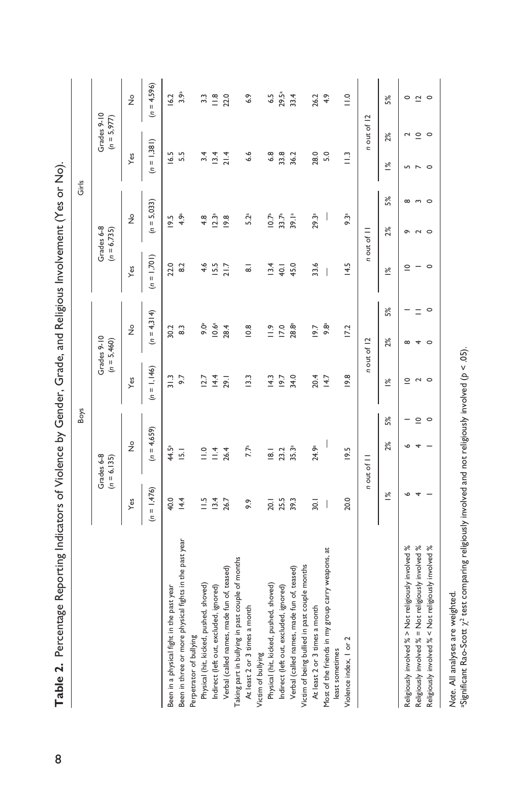|                   |                |                                             | O                           |                                             |                   |                                             |                              |
|-------------------|----------------|---------------------------------------------|-----------------------------|---------------------------------------------|-------------------|---------------------------------------------|------------------------------|
|                   |                |                                             |                             |                                             |                   |                                             |                              |
|                   |                |                                             |                             |                                             |                   |                                             | Grades 9-10<br>$(n = 5,977)$ |
| Yes               | $\frac{1}{2}$  | Yes                                         | ż                           | Yes                                         | $\frac{1}{2}$     | Yes                                         | $\frac{1}{2}$                |
| $(n = 1,476)$     | $(n = 4,659)$  | $(n = 1, 146)$                              | $(n = 4,314)$               | $(n = 1,701)$                               | $(n = 5,033)$     | $(n = 1,381)$                               | $(n = 4,596)$                |
| 40.0              | 44.5ª          | $\frac{3}{3}$                               | 30.2                        | 22.0                                        | <b>19.5</b>       | 16.5                                        | 16.2                         |
| 14.4              | $\overline{5}$ | 9.7                                         | 3                           | 8.2                                         | 4.9ª              | 5.5                                         | 3.9a                         |
| $\frac{15}{15}$   | $\frac{1}{2}$  | 12.7                                        | 9.0ª                        | 4.6                                         | 4.8               | 3.4                                         | 3.3                          |
| 13.4              | $\frac{4}{11}$ | 14.4                                        | $10.6^{\circ}$              | <b>15.5</b>                                 | 12.3a             | 13.4                                        | $\frac{8}{11}$               |
| 26.7              | 26.4           | 29.1                                        | 28.4                        | 21.7                                        | 19.8              | 21.4                                        | 22.0                         |
|                   |                |                                             |                             |                                             |                   |                                             |                              |
| 9.9               | 7.7a           | 13.3                                        | 10.8                        | ᇹ                                           | 5.2ª              | 6.6                                         | 6.9                          |
|                   |                |                                             |                             |                                             |                   |                                             |                              |
| 20.1              | $\frac{1}{8}$  | $\frac{43}{5}$                              | $\frac{1}{2}$               | 13.4                                        | 10.7 <sup>a</sup> | 6.8                                         | 6.5                          |
| 25.5              | 23.2           | 19.7                                        | <b>17.0</b>                 | 40.1                                        | 33.7 <sup>a</sup> | 33.8                                        | 29.5ª                        |
| 39.3              | $35.3^a$       | 34.0                                        | $28.8^\text{n}$             | 45.0                                        | 39.1ª             | 36.2                                        | 33.4                         |
|                   |                |                                             |                             |                                             |                   |                                             |                              |
| $\overline{30}$ . | 24.9ª          | 20.4                                        | 19.7                        | 33.6                                        | $29.3^{a}$        | 28.0                                        | 26.2                         |
| $\bigg $          |                | 14.7                                        | 9.8ª                        | $\overline{\phantom{a}}$                    | I                 | 5.0                                         | 4.9                          |
| 20.0              | 19.5           | 19.8                                        | 17.2                        | 14.5                                        | 9.3a              | $\mathbf{r} = \mathbf{r} \cdot \mathbf{r}$  | $\frac{1}{2}$                |
|                   |                |                                             |                             |                                             |                   |                                             | n out of 12                  |
| $\frac{8}{6}$     | 2%             | $\geq$                                      | 5%<br>2%                    | $\geq$                                      | 5%<br>2%          | 2%<br>$\geq$                                | 5%                           |
|                   |                | $\overline{\phantom{0}}$                    | $\infty$                    | $\overline{\phantom{0}}$                    | $\infty$          |                                             | $\circ$                      |
|                   | $\subseteq$    |                                             |                             |                                             |                   |                                             | $\overline{\phantom{a}}$     |
|                   |                | $\circ$                                     | $\circ$                     |                                             | $\circ$           | $\circ$<br>$\circ$                          | $\circ$                      |
|                   |                | Grades 6-8<br>n out of II<br>$(n = 6, 135)$ | $\sim$<br><b>Boys</b><br>5% | Grades 9-10<br>n out of 12<br>$(n = 5,460)$ |                   | Grades 6-8<br>$(n = 6, 735)$<br>n out of II | $\subseteq$<br>Girls         |

Table 2. Percentage Reporting Indicators of Violence by Gender, Grade, and Religious Involvement (Yes or No). 8**Table 2.** Percentage Reporting Indicators of Violence by Gender, Grade, and Religious Involvement (Yes or No).

*Note.* All analyses are weighted.

Note. All analyses are weighted.<br>"Significant Rao-Scott  $\chi^2$  test comparing religiously involved and not religiously involved (p < .05). aSignificant Rao-Scott χ2 test comparing religiously involved and not religiously involved (*p* < .05).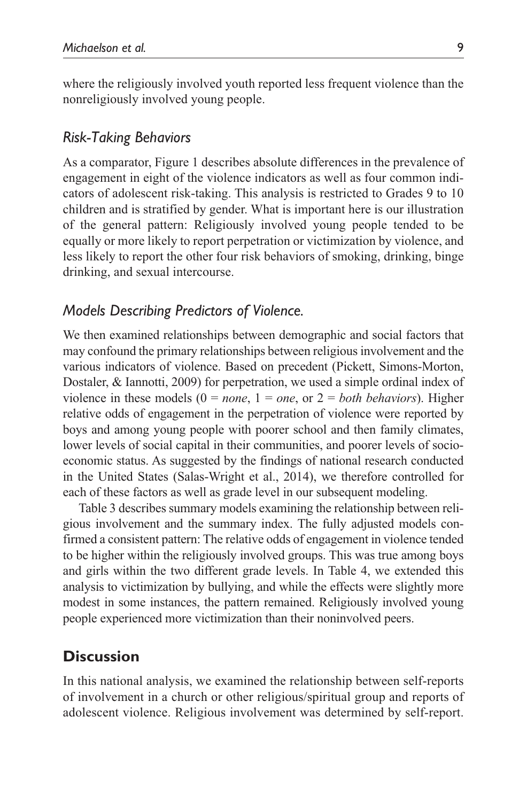where the religiously involved youth reported less frequent violence than the nonreligiously involved young people.

### *Risk-Taking Behaviors*

As a comparator, Figure 1 describes absolute differences in the prevalence of engagement in eight of the violence indicators as well as four common indicators of adolescent risk-taking. This analysis is restricted to Grades 9 to 10 children and is stratified by gender. What is important here is our illustration of the general pattern: Religiously involved young people tended to be equally or more likely to report perpetration or victimization by violence, and less likely to report the other four risk behaviors of smoking, drinking, binge drinking, and sexual intercourse.

# *Models Describing Predictors of Violence.*

We then examined relationships between demographic and social factors that may confound the primary relationships between religious involvement and the various indicators of violence. Based on precedent (Pickett, Simons-Morton, Dostaler, & Iannotti, 2009) for perpetration, we used a simple ordinal index of violence in these models  $(0 = none, 1 = one, or 2 = both behaviors)$ . Higher relative odds of engagement in the perpetration of violence were reported by boys and among young people with poorer school and then family climates, lower levels of social capital in their communities, and poorer levels of socioeconomic status. As suggested by the findings of national research conducted in the United States (Salas-Wright et al., 2014), we therefore controlled for each of these factors as well as grade level in our subsequent modeling.

Table 3 describes summary models examining the relationship between religious involvement and the summary index. The fully adjusted models confirmed a consistent pattern: The relative odds of engagement in violence tended to be higher within the religiously involved groups. This was true among boys and girls within the two different grade levels. In Table 4, we extended this analysis to victimization by bullying, and while the effects were slightly more modest in some instances, the pattern remained. Religiously involved young people experienced more victimization than their noninvolved peers.

### **Discussion**

In this national analysis, we examined the relationship between self-reports of involvement in a church or other religious/spiritual group and reports of adolescent violence. Religious involvement was determined by self-report.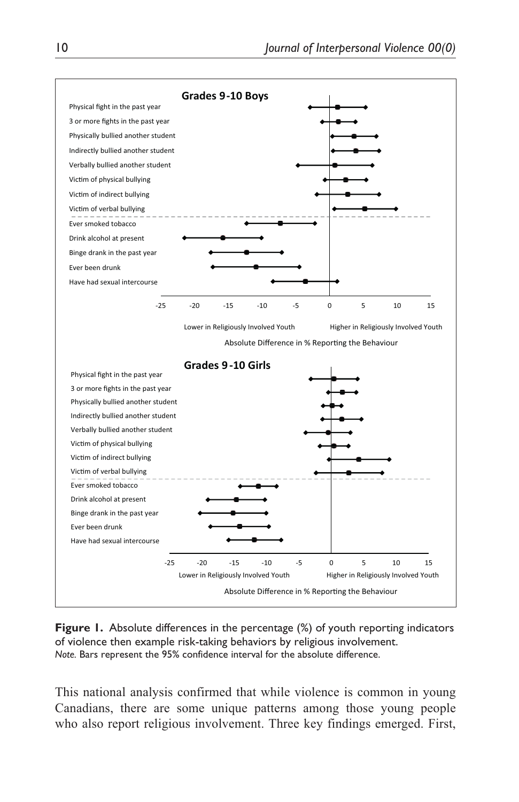

**Figure 1.** Absolute differences in the percentage (%) of youth reporting indicators of violence then example risk-taking behaviors by religious involvement. *Note.* Bars represent the 95% confidence interval for the absolute difference.

This national analysis confirmed that while violence is common in young Canadians, there are some unique patterns among those young people who also report religious involvement. Three key findings emerged. First,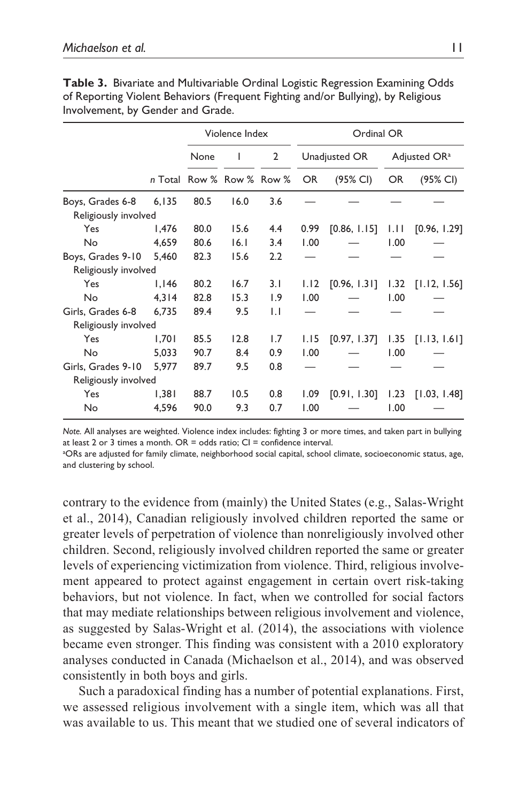|                      |       | Violence Index            |      |                | Ordinal OR |               |           |                          |
|----------------------|-------|---------------------------|------|----------------|------------|---------------|-----------|--------------------------|
|                      |       | None                      |      | $\overline{2}$ |            | Unadjusted OR |           | Adjusted OR <sup>a</sup> |
|                      |       | n Total Row % Row % Row % |      |                | OR         | (95% CI)      | <b>OR</b> | (95% CI)                 |
| Boys, Grades 6-8     | 6,135 | 80.5                      | 16.0 | 3.6            |            |               |           |                          |
| Religiously involved |       |                           |      |                |            |               |           |                          |
| Yes                  | 1.476 | 80.0                      | 15.6 | 4.4            | 0.99       | [0.86, 1.15]  | 1.11      | [0.96, 1.29]             |
| No                   | 4,659 | 80.6                      | 16.1 | 3.4            | 1.00       |               | 1.00      |                          |
| Boys, Grades 9-10    | 5.460 | 82.3                      | 15.6 | 2.2            |            |               |           |                          |
| Religiously involved |       |                           |      |                |            |               |           |                          |
| Yes                  | 1.146 | 80.2                      | 16.7 | 3.1            | 1.12       | [0.96, 1.31]  | 1.32      | [1.12, 1.56]             |
| N <sub>o</sub>       | 4.314 | 82.8                      | 15.3 | 1.9            | 1.00       |               | 1.00      |                          |
| Girls, Grades 6-8    | 6.735 | 89.4                      | 9.5  | $\mathsf{L}$   |            |               |           |                          |
| Religiously involved |       |                           |      |                |            |               |           |                          |
| Yes                  | 1,701 | 85.5                      | 12.8 | 1.7            | 1.15       | [0.97, 1.37]  | 1.35      | [1.13, 1.61]             |
| No                   | 5,033 | 90.7                      | 8.4  | 0.9            | 1.00       |               | 1.00      |                          |
| Girls, Grades 9-10   | 5,977 | 89.7                      | 9.5  | 0.8            |            |               |           |                          |
| Religiously involved |       |                           |      |                |            |               |           |                          |
| Yes                  | 1,381 | 88.7                      | 10.5 | 0.8            | 1.09       | [0.91, 1.30]  | 1.23      | [1.03, 1.48]             |
| No                   | 4.596 | 90.0                      | 9.3  | 0.7            | 1.00       |               | 1.00      |                          |

**Table 3.** Bivariate and Multivariable Ordinal Logistic Regression Examining Odds of Reporting Violent Behaviors (Frequent Fighting and/or Bullying), by Religious Involvement, by Gender and Grade.

*Note.* All analyses are weighted. Violence index includes: fighting 3 or more times, and taken part in bullying at least 2 or 3 times a month. OR = odds ratio; CI = confidence interval.

a ORs are adjusted for family climate, neighborhood social capital, school climate, socioeconomic status, age, and clustering by school.

contrary to the evidence from (mainly) the United States (e.g., Salas-Wright et al., 2014), Canadian religiously involved children reported the same or greater levels of perpetration of violence than nonreligiously involved other children. Second, religiously involved children reported the same or greater levels of experiencing victimization from violence. Third, religious involvement appeared to protect against engagement in certain overt risk-taking behaviors, but not violence. In fact, when we controlled for social factors that may mediate relationships between religious involvement and violence, as suggested by Salas-Wright et al. (2014), the associations with violence became even stronger. This finding was consistent with a 2010 exploratory analyses conducted in Canada (Michaelson et al., 2014), and was observed consistently in both boys and girls.

Such a paradoxical finding has a number of potential explanations. First, we assessed religious involvement with a single item, which was all that was available to us. This meant that we studied one of several indicators of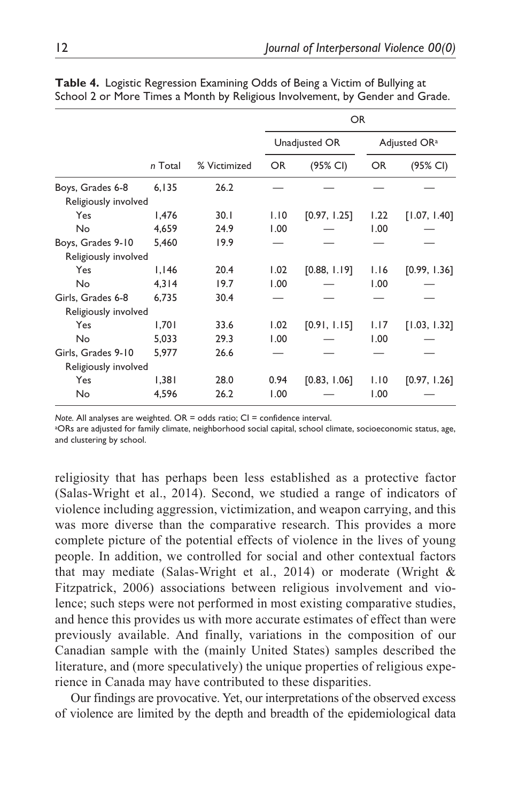|                      |         |              |      | <b>OR</b>     |                          |              |  |  |  |
|----------------------|---------|--------------|------|---------------|--------------------------|--------------|--|--|--|
|                      |         |              |      | Unadjusted OR | Adjusted OR <sup>a</sup> |              |  |  |  |
|                      | n Total | % Victimized | OR.  | (95% CI)      | OR                       | (95% CI)     |  |  |  |
| Boys, Grades 6-8     | 6,135   | 26.2         |      |               |                          |              |  |  |  |
| Religiously involved |         |              |      |               |                          |              |  |  |  |
| Yes                  | 1,476   | 30.1         | 1.10 | [0.97, 1.25]  | 1.22                     | [1.07, 1.40] |  |  |  |
| No                   | 4.659   | 24.9         | 1.00 |               | 1.00                     |              |  |  |  |
| Boys, Grades 9-10    | 5.460   | 19.9         |      |               |                          |              |  |  |  |
| Religiously involved |         |              |      |               |                          |              |  |  |  |
| Yes                  | 1,146   | 20.4         | 1.02 | [0.88, 1.19]  | 1.16                     | [0.99, 1.36] |  |  |  |
| No                   | 4,314   | 19.7         | 1.00 |               | 1.00                     |              |  |  |  |
| Girls, Grades 6-8    | 6,735   | 30.4         |      |               |                          |              |  |  |  |
| Religiously involved |         |              |      |               |                          |              |  |  |  |
| Yes                  | 1,701   | 33.6         | 1.02 | [0.91, 1.15]  | 1.17                     | [1.03, 1.32] |  |  |  |
| No                   | 5,033   | 29.3         | 1.00 |               | 1.00                     |              |  |  |  |
| Girls, Grades 9-10   | 5,977   | 26.6         |      |               |                          |              |  |  |  |
| Religiously involved |         |              |      |               |                          |              |  |  |  |
| Yes                  | 1,381   | 28.0         | 0.94 | [0.83, 1.06]  | 1.10                     | [0.97, 1.26] |  |  |  |
| No                   | 4.596   | 26.2         | 1.00 |               | 1.00                     |              |  |  |  |
|                      |         |              |      |               |                          |              |  |  |  |

| <b>Table 4.</b> Logistic Regression Examining Odds of Being a Victim of Bullying at |  |
|-------------------------------------------------------------------------------------|--|
| School 2 or More Times a Month by Religious Involvement, by Gender and Grade.       |  |

*Note.* All analyses are weighted. OR = odds ratio; CI = confidence interval.

a ORs are adjusted for family climate, neighborhood social capital, school climate, socioeconomic status, age, and clustering by school.

religiosity that has perhaps been less established as a protective factor (Salas-Wright et al., 2014). Second, we studied a range of indicators of violence including aggression, victimization, and weapon carrying, and this was more diverse than the comparative research. This provides a more complete picture of the potential effects of violence in the lives of young people. In addition, we controlled for social and other contextual factors that may mediate (Salas-Wright et al., 2014) or moderate (Wright  $\&$ Fitzpatrick, 2006) associations between religious involvement and violence; such steps were not performed in most existing comparative studies, and hence this provides us with more accurate estimates of effect than were previously available. And finally, variations in the composition of our Canadian sample with the (mainly United States) samples described the literature, and (more speculatively) the unique properties of religious experience in Canada may have contributed to these disparities.

Our findings are provocative. Yet, our interpretations of the observed excess of violence are limited by the depth and breadth of the epidemiological data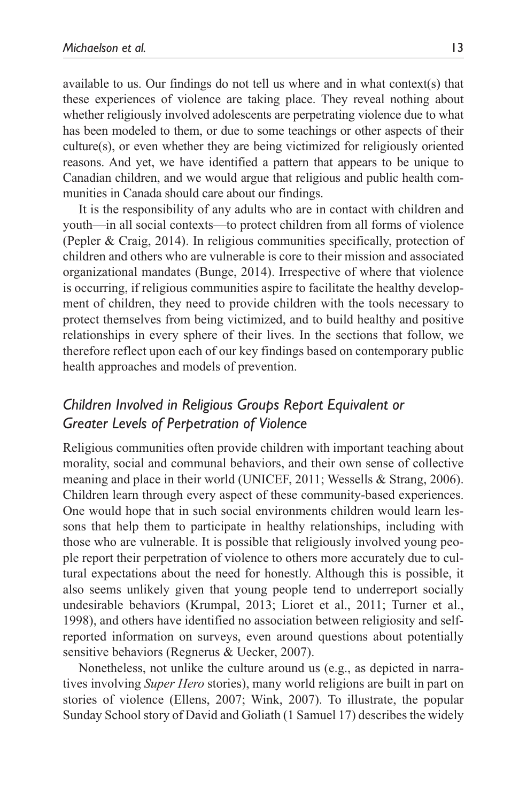available to us. Our findings do not tell us where and in what context(s) that these experiences of violence are taking place. They reveal nothing about whether religiously involved adolescents are perpetrating violence due to what has been modeled to them, or due to some teachings or other aspects of their culture(s), or even whether they are being victimized for religiously oriented reasons. And yet, we have identified a pattern that appears to be unique to Canadian children, and we would argue that religious and public health communities in Canada should care about our findings.

It is the responsibility of any adults who are in contact with children and youth—in all social contexts—to protect children from all forms of violence (Pepler & Craig, 2014). In religious communities specifically, protection of children and others who are vulnerable is core to their mission and associated organizational mandates (Bunge, 2014). Irrespective of where that violence is occurring, if religious communities aspire to facilitate the healthy development of children, they need to provide children with the tools necessary to protect themselves from being victimized, and to build healthy and positive relationships in every sphere of their lives. In the sections that follow, we therefore reflect upon each of our key findings based on contemporary public health approaches and models of prevention.

# *Children Involved in Religious Groups Report Equivalent or Greater Levels of Perpetration of Violence*

Religious communities often provide children with important teaching about morality, social and communal behaviors, and their own sense of collective meaning and place in their world (UNICEF, 2011; Wessells & Strang, 2006). Children learn through every aspect of these community-based experiences. One would hope that in such social environments children would learn lessons that help them to participate in healthy relationships, including with those who are vulnerable. It is possible that religiously involved young people report their perpetration of violence to others more accurately due to cultural expectations about the need for honestly. Although this is possible, it also seems unlikely given that young people tend to underreport socially undesirable behaviors (Krumpal, 2013; Lioret et al., 2011; Turner et al., 1998), and others have identified no association between religiosity and selfreported information on surveys, even around questions about potentially sensitive behaviors (Regnerus & Uecker, 2007).

Nonetheless, not unlike the culture around us (e.g., as depicted in narratives involving *Super Hero* stories), many world religions are built in part on stories of violence (Ellens, 2007; Wink, 2007). To illustrate, the popular Sunday School story of David and Goliath (1 Samuel 17) describes the widely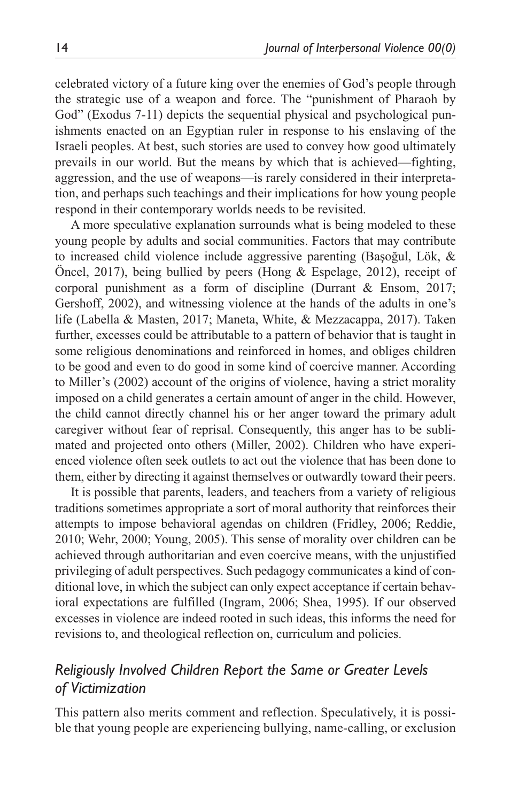celebrated victory of a future king over the enemies of God's people through the strategic use of a weapon and force. The "punishment of Pharaoh by God" (Exodus 7-11) depicts the sequential physical and psychological punishments enacted on an Egyptian ruler in response to his enslaving of the Israeli peoples. At best, such stories are used to convey how good ultimately prevails in our world. But the means by which that is achieved—fighting, aggression, and the use of weapons—is rarely considered in their interpretation, and perhaps such teachings and their implications for how young people respond in their contemporary worlds needs to be revisited.

A more speculative explanation surrounds what is being modeled to these young people by adults and social communities. Factors that may contribute to increased child violence include aggressive parenting (Başoğul, Lök, & Öncel, 2017), being bullied by peers (Hong & Espelage, 2012), receipt of corporal punishment as a form of discipline (Durrant & Ensom, 2017; Gershoff, 2002), and witnessing violence at the hands of the adults in one's life (Labella & Masten, 2017; Maneta, White, & Mezzacappa, 2017). Taken further, excesses could be attributable to a pattern of behavior that is taught in some religious denominations and reinforced in homes, and obliges children to be good and even to do good in some kind of coercive manner. According to Miller's (2002) account of the origins of violence, having a strict morality imposed on a child generates a certain amount of anger in the child. However, the child cannot directly channel his or her anger toward the primary adult caregiver without fear of reprisal. Consequently, this anger has to be sublimated and projected onto others (Miller, 2002). Children who have experienced violence often seek outlets to act out the violence that has been done to them, either by directing it against themselves or outwardly toward their peers.

It is possible that parents, leaders, and teachers from a variety of religious traditions sometimes appropriate a sort of moral authority that reinforces their attempts to impose behavioral agendas on children (Fridley, 2006; Reddie, 2010; Wehr, 2000; Young, 2005). This sense of morality over children can be achieved through authoritarian and even coercive means, with the unjustified privileging of adult perspectives. Such pedagogy communicates a kind of conditional love, in which the subject can only expect acceptance if certain behavioral expectations are fulfilled (Ingram, 2006; Shea, 1995). If our observed excesses in violence are indeed rooted in such ideas, this informs the need for revisions to, and theological reflection on, curriculum and policies.

# *Religiously Involved Children Report the Same or Greater Levels of Victimization*

This pattern also merits comment and reflection. Speculatively, it is possible that young people are experiencing bullying, name-calling, or exclusion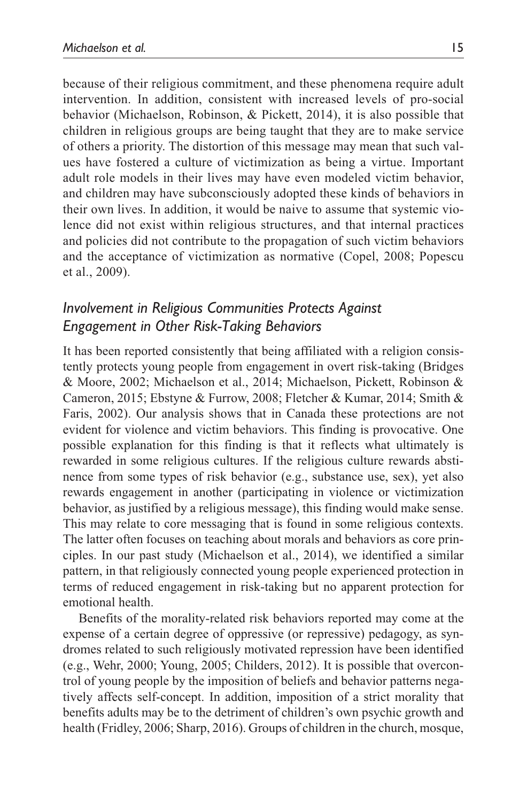because of their religious commitment, and these phenomena require adult intervention. In addition, consistent with increased levels of pro-social behavior (Michaelson, Robinson, & Pickett, 2014), it is also possible that children in religious groups are being taught that they are to make service of others a priority. The distortion of this message may mean that such values have fostered a culture of victimization as being a virtue. Important adult role models in their lives may have even modeled victim behavior, and children may have subconsciously adopted these kinds of behaviors in their own lives. In addition, it would be naive to assume that systemic violence did not exist within religious structures, and that internal practices and policies did not contribute to the propagation of such victim behaviors and the acceptance of victimization as normative (Copel, 2008; Popescu et al., 2009).

# *Involvement in Religious Communities Protects Against Engagement in Other Risk-Taking Behaviors*

It has been reported consistently that being affiliated with a religion consistently protects young people from engagement in overt risk-taking (Bridges & Moore, 2002; Michaelson et al., 2014; Michaelson, Pickett, Robinson & Cameron, 2015; Ebstyne & Furrow, 2008; Fletcher & Kumar, 2014; Smith & Faris, 2002). Our analysis shows that in Canada these protections are not evident for violence and victim behaviors. This finding is provocative. One possible explanation for this finding is that it reflects what ultimately is rewarded in some religious cultures. If the religious culture rewards abstinence from some types of risk behavior (e.g., substance use, sex), yet also rewards engagement in another (participating in violence or victimization behavior, as justified by a religious message), this finding would make sense. This may relate to core messaging that is found in some religious contexts. The latter often focuses on teaching about morals and behaviors as core principles. In our past study (Michaelson et al., 2014), we identified a similar pattern, in that religiously connected young people experienced protection in terms of reduced engagement in risk-taking but no apparent protection for emotional health.

Benefits of the morality-related risk behaviors reported may come at the expense of a certain degree of oppressive (or repressive) pedagogy, as syndromes related to such religiously motivated repression have been identified (e.g., Wehr, 2000; Young, 2005; Childers, 2012). It is possible that overcontrol of young people by the imposition of beliefs and behavior patterns negatively affects self-concept. In addition, imposition of a strict morality that benefits adults may be to the detriment of children's own psychic growth and health (Fridley, 2006; Sharp, 2016). Groups of children in the church, mosque,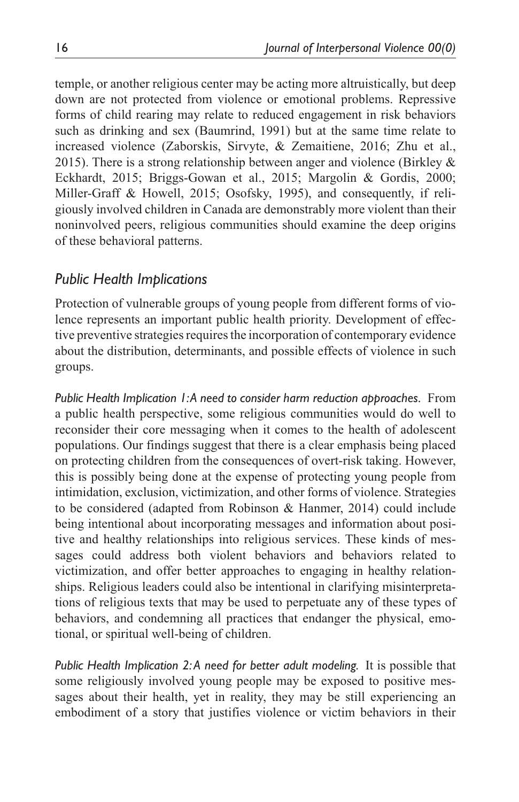temple, or another religious center may be acting more altruistically, but deep down are not protected from violence or emotional problems. Repressive forms of child rearing may relate to reduced engagement in risk behaviors such as drinking and sex (Baumrind, 1991) but at the same time relate to increased violence (Zaborskis, Sirvyte, & Zemaitiene, 2016; Zhu et al., 2015). There is a strong relationship between anger and violence (Birkley  $\&$ Eckhardt, 2015; Briggs-Gowan et al., 2015; Margolin & Gordis, 2000; Miller-Graff & Howell, 2015; Osofsky, 1995), and consequently, if religiously involved children in Canada are demonstrably more violent than their noninvolved peers, religious communities should examine the deep origins of these behavioral patterns.

## *Public Health Implications*

Protection of vulnerable groups of young people from different forms of violence represents an important public health priority. Development of effective preventive strategies requires the incorporation of contemporary evidence about the distribution, determinants, and possible effects of violence in such groups.

*Public Health Implication 1: A need to consider harm reduction approaches.* From a public health perspective, some religious communities would do well to reconsider their core messaging when it comes to the health of adolescent populations. Our findings suggest that there is a clear emphasis being placed on protecting children from the consequences of overt-risk taking. However, this is possibly being done at the expense of protecting young people from intimidation, exclusion, victimization, and other forms of violence. Strategies to be considered (adapted from Robinson & Hanmer, 2014) could include being intentional about incorporating messages and information about positive and healthy relationships into religious services. These kinds of messages could address both violent behaviors and behaviors related to victimization, and offer better approaches to engaging in healthy relationships. Religious leaders could also be intentional in clarifying misinterpretations of religious texts that may be used to perpetuate any of these types of behaviors, and condemning all practices that endanger the physical, emotional, or spiritual well-being of children.

*Public Health Implication 2: A need for better adult modeling.* It is possible that some religiously involved young people may be exposed to positive messages about their health, yet in reality, they may be still experiencing an embodiment of a story that justifies violence or victim behaviors in their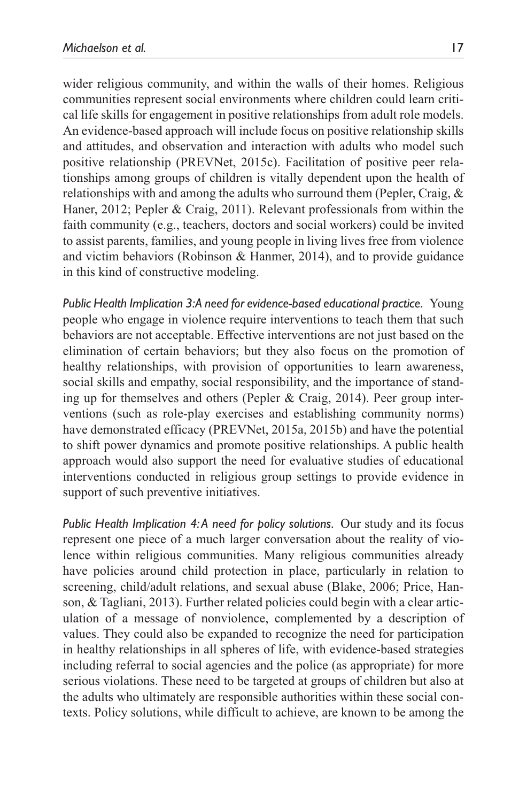wider religious community, and within the walls of their homes. Religious communities represent social environments where children could learn critical life skills for engagement in positive relationships from adult role models. An evidence-based approach will include focus on positive relationship skills and attitudes, and observation and interaction with adults who model such positive relationship (PREVNet, 2015c). Facilitation of positive peer relationships among groups of children is vitally dependent upon the health of relationships with and among the adults who surround them (Pepler, Craig, & Haner, 2012; Pepler & Craig, 2011). Relevant professionals from within the faith community (e.g., teachers, doctors and social workers) could be invited to assist parents, families, and young people in living lives free from violence and victim behaviors (Robinson & Hanmer, 2014), and to provide guidance in this kind of constructive modeling.

*Public Health Implication 3: A need for evidence-based educational practice.* Young people who engage in violence require interventions to teach them that such behaviors are not acceptable. Effective interventions are not just based on the elimination of certain behaviors; but they also focus on the promotion of healthy relationships, with provision of opportunities to learn awareness, social skills and empathy, social responsibility, and the importance of standing up for themselves and others (Pepler & Craig, 2014). Peer group interventions (such as role-play exercises and establishing community norms) have demonstrated efficacy (PREVNet, 2015a, 2015b) and have the potential to shift power dynamics and promote positive relationships. A public health approach would also support the need for evaluative studies of educational interventions conducted in religious group settings to provide evidence in support of such preventive initiatives.

*Public Health Implication 4: A need for policy solutions.* Our study and its focus represent one piece of a much larger conversation about the reality of violence within religious communities. Many religious communities already have policies around child protection in place, particularly in relation to screening, child/adult relations, and sexual abuse (Blake, 2006; Price, Hanson, & Tagliani, 2013). Further related policies could begin with a clear articulation of a message of nonviolence, complemented by a description of values. They could also be expanded to recognize the need for participation in healthy relationships in all spheres of life, with evidence-based strategies including referral to social agencies and the police (as appropriate) for more serious violations. These need to be targeted at groups of children but also at the adults who ultimately are responsible authorities within these social contexts. Policy solutions, while difficult to achieve, are known to be among the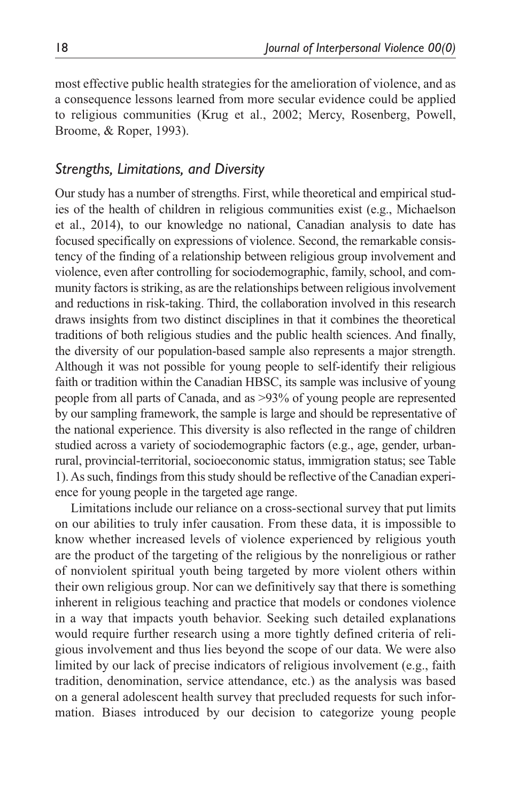most effective public health strategies for the amelioration of violence, and as a consequence lessons learned from more secular evidence could be applied to religious communities (Krug et al., 2002; Mercy, Rosenberg, Powell, Broome, & Roper, 1993).

### *Strengths, Limitations, and Diversity*

Our study has a number of strengths. First, while theoretical and empirical studies of the health of children in religious communities exist (e.g., Michaelson et al., 2014), to our knowledge no national, Canadian analysis to date has focused specifically on expressions of violence. Second, the remarkable consistency of the finding of a relationship between religious group involvement and violence, even after controlling for sociodemographic, family, school, and community factors is striking, as are the relationships between religious involvement and reductions in risk-taking. Third, the collaboration involved in this research draws insights from two distinct disciplines in that it combines the theoretical traditions of both religious studies and the public health sciences. And finally, the diversity of our population-based sample also represents a major strength. Although it was not possible for young people to self-identify their religious faith or tradition within the Canadian HBSC, its sample was inclusive of young people from all parts of Canada, and as >93% of young people are represented by our sampling framework, the sample is large and should be representative of the national experience. This diversity is also reflected in the range of children studied across a variety of sociodemographic factors (e.g., age, gender, urbanrural, provincial-territorial, socioeconomic status, immigration status; see Table 1). As such, findings from this study should be reflective of the Canadian experience for young people in the targeted age range.

Limitations include our reliance on a cross-sectional survey that put limits on our abilities to truly infer causation. From these data, it is impossible to know whether increased levels of violence experienced by religious youth are the product of the targeting of the religious by the nonreligious or rather of nonviolent spiritual youth being targeted by more violent others within their own religious group. Nor can we definitively say that there is something inherent in religious teaching and practice that models or condones violence in a way that impacts youth behavior. Seeking such detailed explanations would require further research using a more tightly defined criteria of religious involvement and thus lies beyond the scope of our data. We were also limited by our lack of precise indicators of religious involvement (e.g., faith tradition, denomination, service attendance, etc.) as the analysis was based on a general adolescent health survey that precluded requests for such information. Biases introduced by our decision to categorize young people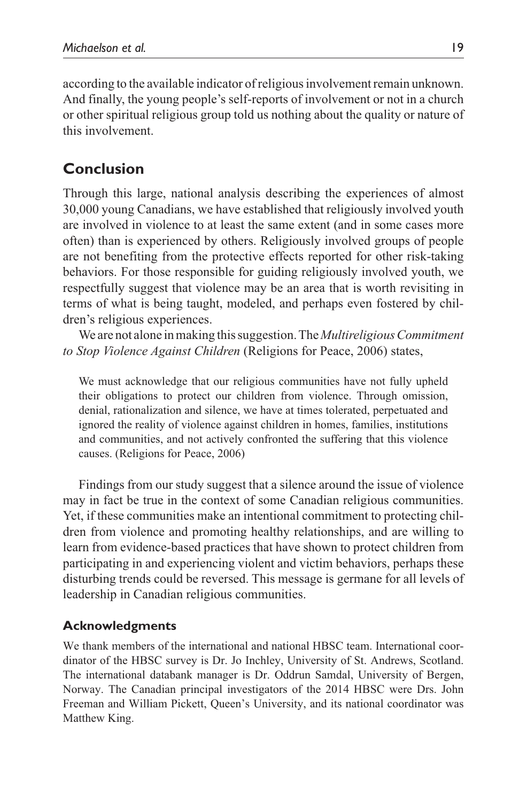according to the available indicator of religious involvement remain unknown. And finally, the young people's self-reports of involvement or not in a church or other spiritual religious group told us nothing about the quality or nature of this involvement.

# **Conclusion**

Through this large, national analysis describing the experiences of almost 30,000 young Canadians, we have established that religiously involved youth are involved in violence to at least the same extent (and in some cases more often) than is experienced by others. Religiously involved groups of people are not benefiting from the protective effects reported for other risk-taking behaviors. For those responsible for guiding religiously involved youth, we respectfully suggest that violence may be an area that is worth revisiting in terms of what is being taught, modeled, and perhaps even fostered by children's religious experiences.

We are not alone in making this suggestion. The *Multireligious Commitment to Stop Violence Against Children* (Religions for Peace, 2006) states,

We must acknowledge that our religious communities have not fully upheld their obligations to protect our children from violence. Through omission, denial, rationalization and silence, we have at times tolerated, perpetuated and ignored the reality of violence against children in homes, families, institutions and communities, and not actively confronted the suffering that this violence causes. (Religions for Peace, 2006)

Findings from our study suggest that a silence around the issue of violence may in fact be true in the context of some Canadian religious communities. Yet, if these communities make an intentional commitment to protecting children from violence and promoting healthy relationships, and are willing to learn from evidence-based practices that have shown to protect children from participating in and experiencing violent and victim behaviors, perhaps these disturbing trends could be reversed. This message is germane for all levels of leadership in Canadian religious communities.

### **Acknowledgments**

We thank members of the international and national HBSC team. International coordinator of the HBSC survey is Dr. Jo Inchley, University of St. Andrews, Scotland. The international databank manager is Dr. Oddrun Samdal, University of Bergen, Norway. The Canadian principal investigators of the 2014 HBSC were Drs. John Freeman and William Pickett, Queen's University, and its national coordinator was Matthew King.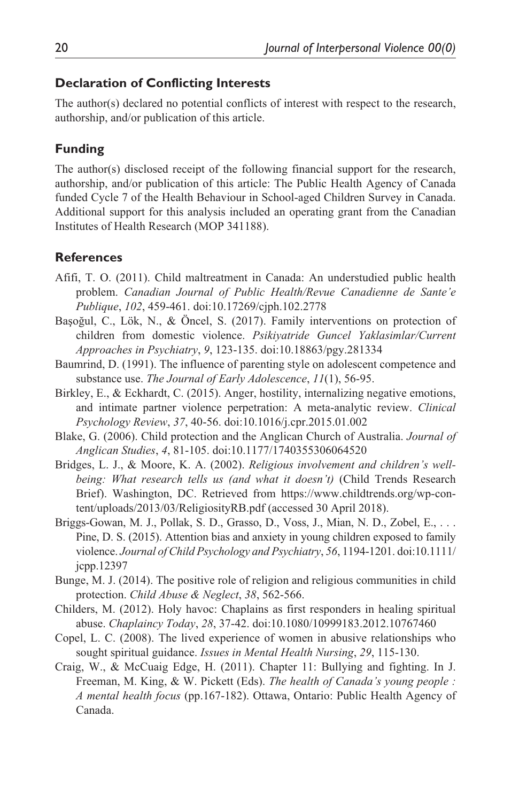#### **Declaration of Conflicting Interests**

The author(s) declared no potential conflicts of interest with respect to the research, authorship, and/or publication of this article.

#### **Funding**

The author(s) disclosed receipt of the following financial support for the research, authorship, and/or publication of this article: The Public Health Agency of Canada funded Cycle 7 of the Health Behaviour in School-aged Children Survey in Canada. Additional support for this analysis included an operating grant from the Canadian Institutes of Health Research (MOP 341188).

#### **References**

- Afifi, T. O. (2011). Child maltreatment in Canada: An understudied public health problem. *Canadian Journal of Public Health/Revue Canadienne de Sante'e Publique*, *102*, 459-461. doi:10.17269/cjph.102.2778
- Başoğul, C., Lök, N., & Öncel, S. (2017). Family interventions on protection of children from domestic violence. *Psikiyatride Guncel Yaklasimlar/Current Approaches in Psychiatry*, *9*, 123-135. doi:10.18863/pgy.281334
- Baumrind, D. (1991). The influence of parenting style on adolescent competence and substance use. *The Journal of Early Adolescence*, *11*(1), 56-95.
- Birkley, E., & Eckhardt, C. (2015). Anger, hostility, internalizing negative emotions, and intimate partner violence perpetration: A meta-analytic review. *Clinical Psychology Review*, *37*, 40-56. doi:10.1016/j.cpr.2015.01.002
- Blake, G. (2006). Child protection and the Anglican Church of Australia. *Journal of Anglican Studies*, *4*, 81-105. doi:10.1177/1740355306064520
- Bridges, L. J., & Moore, K. A. (2002). *Religious involvement and children's wellbeing: What research tells us (and what it doesn't)* (Child Trends Research Brief). Washington, DC. Retrieved from [https://www.childtrends.org/wp-con](https://www.childtrends.org/wp-content/uploads/2013/03/ReligiosityRB.pdf)[tent/uploads/2013/03/ReligiosityRB.pdf](https://www.childtrends.org/wp-content/uploads/2013/03/ReligiosityRB.pdf) (accessed 30 April 2018).
- Briggs-Gowan, M. J., Pollak, S. D., Grasso, D., Voss, J., Mian, N. D., Zobel, E., . . . Pine, D. S. (2015). Attention bias and anxiety in young children exposed to family violence. *Journal of Child Psychology and Psychiatry*, *56*, 1194-1201. doi:10.1111/ jcpp.12397
- Bunge, M. J. (2014). The positive role of religion and religious communities in child protection. *Child Abuse & Neglect*, *38*, 562-566.
- Childers, M. (2012). Holy havoc: Chaplains as first responders in healing spiritual abuse. *Chaplaincy Today*, *28*, 37-42. doi:10.1080/10999183.2012.10767460
- Copel, L. C. (2008). The lived experience of women in abusive relationships who sought spiritual guidance. *Issues in Mental Health Nursing*, *29*, 115-130.
- Craig, W., & McCuaig Edge, H. (2011). Chapter 11: Bullying and fighting. In J. Freeman, M. King, & W. Pickett (Eds). *The health of Canada's young people : A mental health focus* (pp.167-182). Ottawa, Ontario: Public Health Agency of Canada.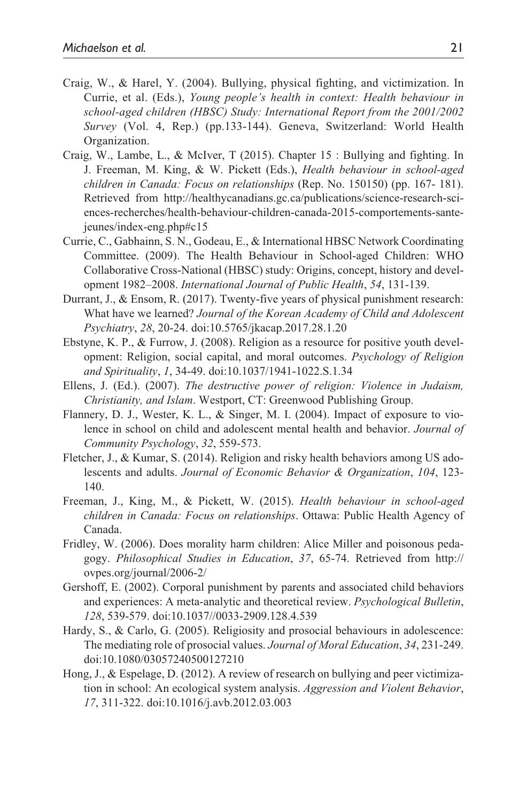- Craig, W., & Harel, Y. (2004). Bullying, physical fighting, and victimization. In Currie, et al. (Eds.), *Young people's health in context: Health behaviour in school-aged children (HBSC) Study: International Report from the 2001/2002 Survey* (Vol. 4, Rep.) (pp.133-144). Geneva, Switzerland: World Health Organization.
- Craig, W., Lambe, L., & McIver, T (2015). Chapter 15 : Bullying and fighting. In J. Freeman, M. King, & W. Pickett (Eds.), *Health behaviour in school-aged children in Canada: Focus on relationships* (Rep. No. 150150) (pp. 167- 181). Retrieved from [http://healthycanadians.gc.ca/publications/science-research-sci](http://healthycanadians.gc.ca/publications/science-research-sciences-recherches/health-behaviour-children-canada-2015-comportements-sante-jeunes/index-eng.php#c15)[ences-recherches/health-behaviour-children-canada-2015-comportements-sante](http://healthycanadians.gc.ca/publications/science-research-sciences-recherches/health-behaviour-children-canada-2015-comportements-sante-jeunes/index-eng.php#c15)[jeunes/index-eng.php#c15](http://healthycanadians.gc.ca/publications/science-research-sciences-recherches/health-behaviour-children-canada-2015-comportements-sante-jeunes/index-eng.php#c15)
- Currie, C., Gabhainn, S. N., Godeau, E., & International HBSC Network Coordinating Committee. (2009). The Health Behaviour in School-aged Children: WHO Collaborative Cross-National (HBSC) study: Origins, concept, history and development 1982–2008. *International Journal of Public Health*, *54*, 131-139.
- Durrant, J., & Ensom, R. (2017). Twenty-five years of physical punishment research: What have we learned? *Journal of the Korean Academy of Child and Adolescent Psychiatry*, *28*, 20-24. doi:10.5765/jkacap.2017.28.1.20
- Ebstyne, K. P., & Furrow, J. (2008). Religion as a resource for positive youth development: Religion, social capital, and moral outcomes. *Psychology of Religion and Spirituality*, *1*, 34-49. doi:10.1037/1941-1022.S.1.34
- Ellens, J. (Ed.). (2007). *The destructive power of religion: Violence in Judaism, Christianity, and Islam*. Westport, CT: Greenwood Publishing Group.
- Flannery, D. J., Wester, K. L., & Singer, M. I. (2004). Impact of exposure to violence in school on child and adolescent mental health and behavior. *Journal of Community Psychology*, *32*, 559-573.
- Fletcher, J., & Kumar, S. (2014). Religion and risky health behaviors among US adolescents and adults. *Journal of Economic Behavior & Organization*, *104*, 123- 140.
- Freeman, J., King, M., & Pickett, W. (2015). *Health behaviour in school-aged children in Canada: Focus on relationships*. Ottawa: Public Health Agency of Canada.
- Fridley, W. (2006). Does morality harm children: Alice Miller and poisonous pedagogy. *Philosophical Studies in Education*, *37*, 65-74. Retrieved from [http://](http://ovpes.org/journal/2006-2/) [ovpes.org/journal/2006-2/](http://ovpes.org/journal/2006-2/)
- Gershoff, E. (2002). Corporal punishment by parents and associated child behaviors and experiences: A meta-analytic and theoretical review. *Psychological Bulletin*, *128*, 539-579. doi:10.1037//0033-2909.128.4.539
- Hardy, S., & Carlo, G. (2005). Religiosity and prosocial behaviours in adolescence: The mediating role of prosocial values. *Journal of Moral Education*, *34*, 231-249. doi:10.1080/03057240500127210
- Hong, J., & Espelage, D. (2012). A review of research on bullying and peer victimization in school: An ecological system analysis. *Aggression and Violent Behavior*, *17*, 311-322. doi:10.1016/j.avb.2012.03.003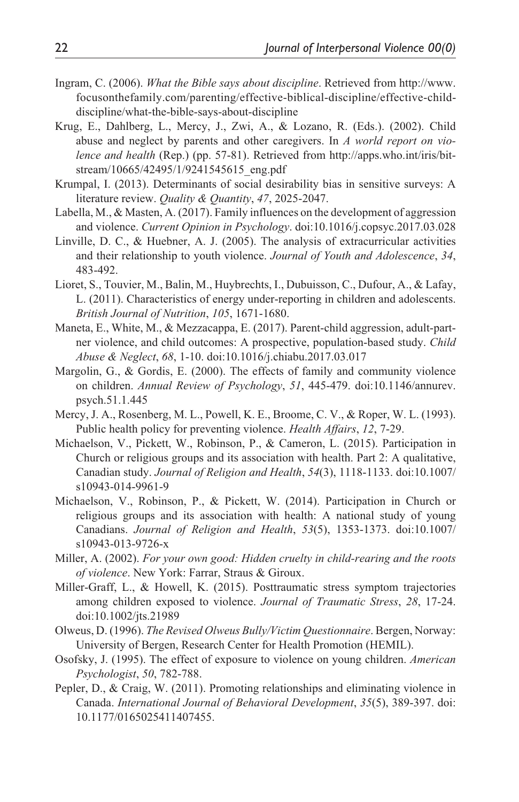- Ingram, C. (2006). *What the Bible says about discipline*. Retrieved from [http://www.](http://www.focusonthefamily.com/parenting/effective-biblical-discipline/effective-child-discipline/what-the-bible-says-about-discipline) [focusonthefamily.com/parenting/effective-biblical-discipline/effective-child](http://www.focusonthefamily.com/parenting/effective-biblical-discipline/effective-child-discipline/what-the-bible-says-about-discipline)[discipline/what-the-bible-says-about-discipline](http://www.focusonthefamily.com/parenting/effective-biblical-discipline/effective-child-discipline/what-the-bible-says-about-discipline)
- Krug, E., Dahlberg, L., Mercy, J., Zwi, A., & Lozano, R. (Eds.). (2002). Child abuse and neglect by parents and other caregivers. In *A world report on violence and health* (Rep.) (pp. 57-81). Retrieved from [http://apps.who.int/iris/bit](http://apps.who.int/iris/bitstream/10665/42495/1/9241545615_eng.pdf)[stream/10665/42495/1/9241545615\\_eng.pdf](http://apps.who.int/iris/bitstream/10665/42495/1/9241545615_eng.pdf)
- Krumpal, I. (2013). Determinants of social desirability bias in sensitive surveys: A literature review. *Quality & Quantity*, *47*, 2025-2047.
- Labella, M., & Masten, A. (2017). Family influences on the development of aggression and violence. *Current Opinion in Psychology*. doi:10.1016/j.copsyc.2017.03.028
- Linville, D. C., & Huebner, A. J. (2005). The analysis of extracurricular activities and their relationship to youth violence. *Journal of Youth and Adolescence*, *34*, 483-492.
- Lioret, S., Touvier, M., Balin, M., Huybrechts, I., Dubuisson, C., Dufour, A., & Lafay, L. (2011). Characteristics of energy under-reporting in children and adolescents. *British Journal of Nutrition*, *105*, 1671-1680.
- Maneta, E., White, M., & Mezzacappa, E. (2017). Parent-child aggression, adult-partner violence, and child outcomes: A prospective, population-based study. *Child Abuse & Neglect*, *68*, 1-10. doi:10.1016/j.chiabu.2017.03.017
- Margolin, G., & Gordis, E. (2000). The effects of family and community violence on children. *Annual Review of Psychology*, *51*, 445-479. doi:10.1146/annurev. psych.51.1.445
- Mercy, J. A., Rosenberg, M. L., Powell, K. E., Broome, C. V., & Roper, W. L. (1993). Public health policy for preventing violence. *Health Affairs*, *12*, 7-29.
- Michaelson, V., Pickett, W., Robinson, P., & Cameron, L. (2015). Participation in Church or religious groups and its association with health. Part 2: A qualitative, Canadian study. *Journal of Religion and Health*, *54*(3), 1118-1133. doi:10.1007/ s10943-014-9961-9
- Michaelson, V., Robinson, P., & Pickett, W. (2014). Participation in Church or religious groups and its association with health: A national study of young Canadians. *Journal of Religion and Health*, *53*(5), 1353-1373. doi:10.1007/ s10943-013-9726-x
- Miller, A. (2002). *For your own good: Hidden cruelty in child-rearing and the roots of violence*. New York: Farrar, Straus & Giroux.
- Miller-Graff, L., & Howell, K. (2015). Posttraumatic stress symptom trajectories among children exposed to violence. *Journal of Traumatic Stress*, *28*, 17-24. doi:10.1002/jts.21989
- Olweus, D. (1996). *The Revised Olweus Bully/Victim Questionnaire*. Bergen, Norway: University of Bergen, Research Center for Health Promotion (HEMIL).
- Osofsky, J. (1995). The effect of exposure to violence on young children. *American Psychologist*, *50*, 782-788.
- Pepler, D., & Craig, W. (2011). Promoting relationships and eliminating violence in Canada. *International Journal of Behavioral Development*, *35*(5), 389-397. doi: 10.1177/0165025411407455.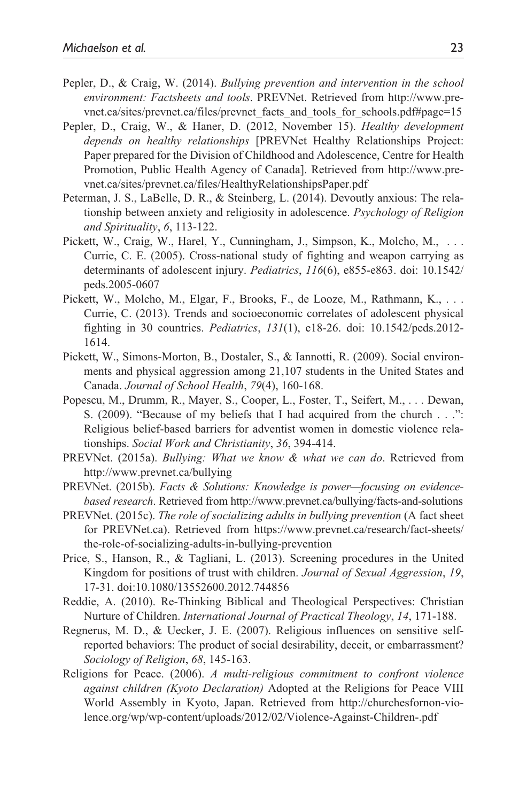- Pepler, D., & Craig, W. (2014). *Bullying prevention and intervention in the school environment: Factsheets and tools*. PREVNet. Retrieved from [http://www.pre](http://www.prevnet.ca/sites/prevnet.ca/files/prevnet_facts_and_tools_for_schools.pdf#page=15)vnet.ca/sites/prevnet.ca/files/prevnet facts and tools for schools.pdf#page=15
- Pepler, D., Craig, W., & Haner, D. (2012, November 15). *Healthy development depends on healthy relationships* [PREVNet Healthy Relationships Project: Paper prepared for the Division of Childhood and Adolescence, Centre for Health Promotion, Public Health Agency of Canada]. Retrieved from [http://www.pre](http://www.prevnet.ca/sites/prevnet.ca/files/HealthyRelationshipsPaper.pdf)[vnet.ca/sites/prevnet.ca/files/HealthyRelationshipsPaper.pdf](http://www.prevnet.ca/sites/prevnet.ca/files/HealthyRelationshipsPaper.pdf)
- Peterman, J. S., LaBelle, D. R., & Steinberg, L. (2014). Devoutly anxious: The relationship between anxiety and religiosity in adolescence. *Psychology of Religion and Spirituality*, *6*, 113-122.
- Pickett, W., Craig, W., Harel, Y., Cunningham, J., Simpson, K., Molcho, M., ... Currie, C. E. (2005). Cross-national study of fighting and weapon carrying as determinants of adolescent injury. *Pediatrics*, *116*(6), e855-e863. doi: 10.1542/ peds.2005-0607
- Pickett, W., Molcho, M., Elgar, F., Brooks, F., de Looze, M., Rathmann, K., . . . Currie, C. (2013). Trends and socioeconomic correlates of adolescent physical fighting in 30 countries. *Pediatrics*, *131*(1), e18-26. doi: 10.1542/peds.2012- 1614.
- Pickett, W., Simons-Morton, B., Dostaler, S., & Iannotti, R. (2009). Social environments and physical aggression among 21,107 students in the United States and Canada. *Journal of School Health*, *79*(4), 160-168.
- Popescu, M., Drumm, R., Mayer, S., Cooper, L., Foster, T., Seifert, M., . . . Dewan, S. (2009). "Because of my beliefs that I had acquired from the church . . .": Religious belief-based barriers for adventist women in domestic violence relationships. *Social Work and Christianity*, *36*, 394-414.
- PREVNet. (2015a). *Bullying: What we know & what we can do*. Retrieved from <http://www.prevnet.ca/bullying>
- PREVNet. (2015b). *Facts & Solutions: Knowledge is power—focusing on evidencebased research*. Retrieved from<http://www.prevnet.ca/bullying/facts-and-solutions>
- PREVNet. (2015c). *The role of socializing adults in bullying prevention* (A fact sheet for PREVNet.ca). Retrieved from [https://www.prevnet.ca/research/fact-sheets/](https://www.prevnet.ca/research/fact-sheets/the-role-of-socializing-adults-in-bullying-prevention) [the-role-of-socializing-adults-in-bullying-prevention](https://www.prevnet.ca/research/fact-sheets/the-role-of-socializing-adults-in-bullying-prevention)
- Price, S., Hanson, R., & Tagliani, L. (2013). Screening procedures in the United Kingdom for positions of trust with children. *Journal of Sexual Aggression*, *19*, 17-31. doi:10.1080/13552600.2012.744856
- Reddie, A. (2010). Re-Thinking Biblical and Theological Perspectives: Christian Nurture of Children. *International Journal of Practical Theology*, *14*, 171-188.
- Regnerus, M. D., & Uecker, J. E. (2007). Religious influences on sensitive selfreported behaviors: The product of social desirability, deceit, or embarrassment? *Sociology of Religion*, *68*, 145-163.
- Religions for Peace. (2006). *A multi-religious commitment to confront violence against children (Kyoto Declaration)* Adopted at the Religions for Peace VIII World Assembly in Kyoto, Japan. Retrieved from [http://churchesfornon-vio](http://churchesfornon-violence.org/wp/wp-content/uploads/2012/02/Violence-Against-Children-.pdf)[lence.org/wp/wp-content/uploads/2012/02/Violence-Against-Children-.pdf](http://churchesfornon-violence.org/wp/wp-content/uploads/2012/02/Violence-Against-Children-.pdf)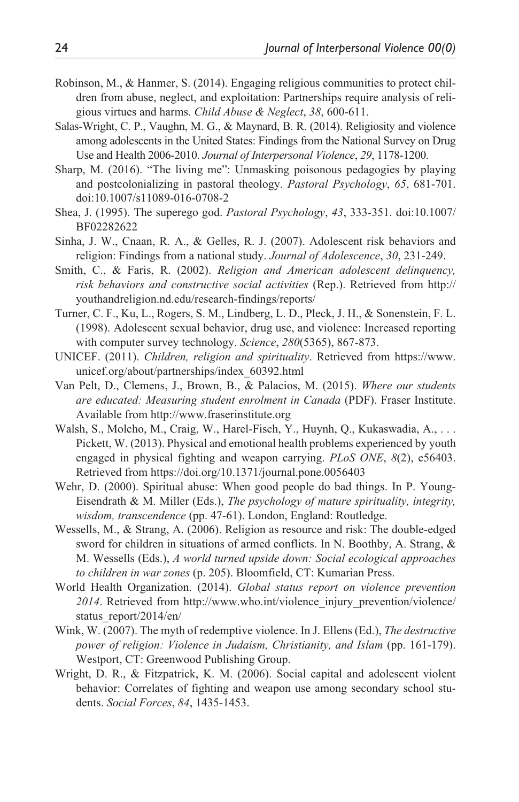- Robinson, M., & Hanmer, S. (2014). Engaging religious communities to protect children from abuse, neglect, and exploitation: Partnerships require analysis of religious virtues and harms. *Child Abuse & Neglect*, *38*, 600-611.
- Salas-Wright, C. P., Vaughn, M. G., & Maynard, B. R. (2014). Religiosity and violence among adolescents in the United States: Findings from the National Survey on Drug Use and Health 2006-2010. *Journal of Interpersonal Violence*, *29*, 1178-1200.
- Sharp, M. (2016). "The living me": Unmasking poisonous pedagogies by playing and postcolonializing in pastoral theology. *Pastoral Psychology*, *65*, 681-701. doi:10.1007/s11089-016-0708-2
- Shea, J. (1995). The superego god. *Pastoral Psychology*, *43*, 333-351. doi:10.1007/ BF02282622
- Sinha, J. W., Cnaan, R. A., & Gelles, R. J. (2007). Adolescent risk behaviors and religion: Findings from a national study. *Journal of Adolescence*, *30*, 231-249.
- Smith, C., & Faris, R. (2002). *Religion and American adolescent delinquency, risk behaviors and constructive social activities* (Rep.). Retrieved from [http://](http://youthandreligion.nd.edu/research-findings/reports/) [youthandreligion.nd.edu/research-findings/reports/](http://youthandreligion.nd.edu/research-findings/reports/)
- Turner, C. F., Ku, L., Rogers, S. M., Lindberg, L. D., Pleck, J. H., & Sonenstein, F. L. (1998). Adolescent sexual behavior, drug use, and violence: Increased reporting with computer survey technology. *Science*, *280*(5365), 867-873.
- UNICEF. (2011). *Children, religion and spirituality*. Retrieved from [https://www.](https://www.unicef.org/about/partnerships/index_60392.html) [unicef.org/about/partnerships/index\\_60392.html](https://www.unicef.org/about/partnerships/index_60392.html)
- Van Pelt, D., Clemens, J., Brown, B., & Palacios, M. (2015). *Where our students are educated: Measuring student enrolment in Canada* (PDF). Fraser Institute. Available from <http://www.fraserinstitute.org>
- Walsh, S., Molcho, M., Craig, W., Harel-Fisch, Y., Huynh, Q., Kukaswadia, A., . . . Pickett, W. (2013). Physical and emotional health problems experienced by youth engaged in physical fighting and weapon carrying. *PLoS ONE*, *8*(2), e56403. Retrieved from <https://doi.org/10.1371/journal.pone.0056403>
- Wehr, D. (2000). Spiritual abuse: When good people do bad things. In P. Young-Eisendrath & M. Miller (Eds.), *The psychology of mature spirituality, integrity, wisdom, transcendence* (pp. 47-61). London, England: Routledge.
- Wessells, M., & Strang, A. (2006). Religion as resource and risk: The double-edged sword for children in situations of armed conflicts. In N. Boothby, A. Strang, & M. Wessells (Eds.), *A world turned upside down: Social ecological approaches to children in war zones* (p. 205). Bloomfield, CT: Kumarian Press.
- World Health Organization. (2014). *Global status report on violence prevention 2014*. Retrieved from [http://www.who.int/violence\\_injury\\_prevention/violence/](http://www.who.int/violence_injury_prevention/violence/status_report/2014/en/) [status\\_report/2014/en/](http://www.who.int/violence_injury_prevention/violence/status_report/2014/en/)
- Wink, W. (2007). The myth of redemptive violence. In J. Ellens (Ed.), *The destructive power of religion: Violence in Judaism, Christianity, and Islam* (pp. 161-179). Westport, CT: Greenwood Publishing Group.
- Wright, D. R., & Fitzpatrick, K. M. (2006). Social capital and adolescent violent behavior: Correlates of fighting and weapon use among secondary school students. *Social Forces*, *84*, 1435-1453.